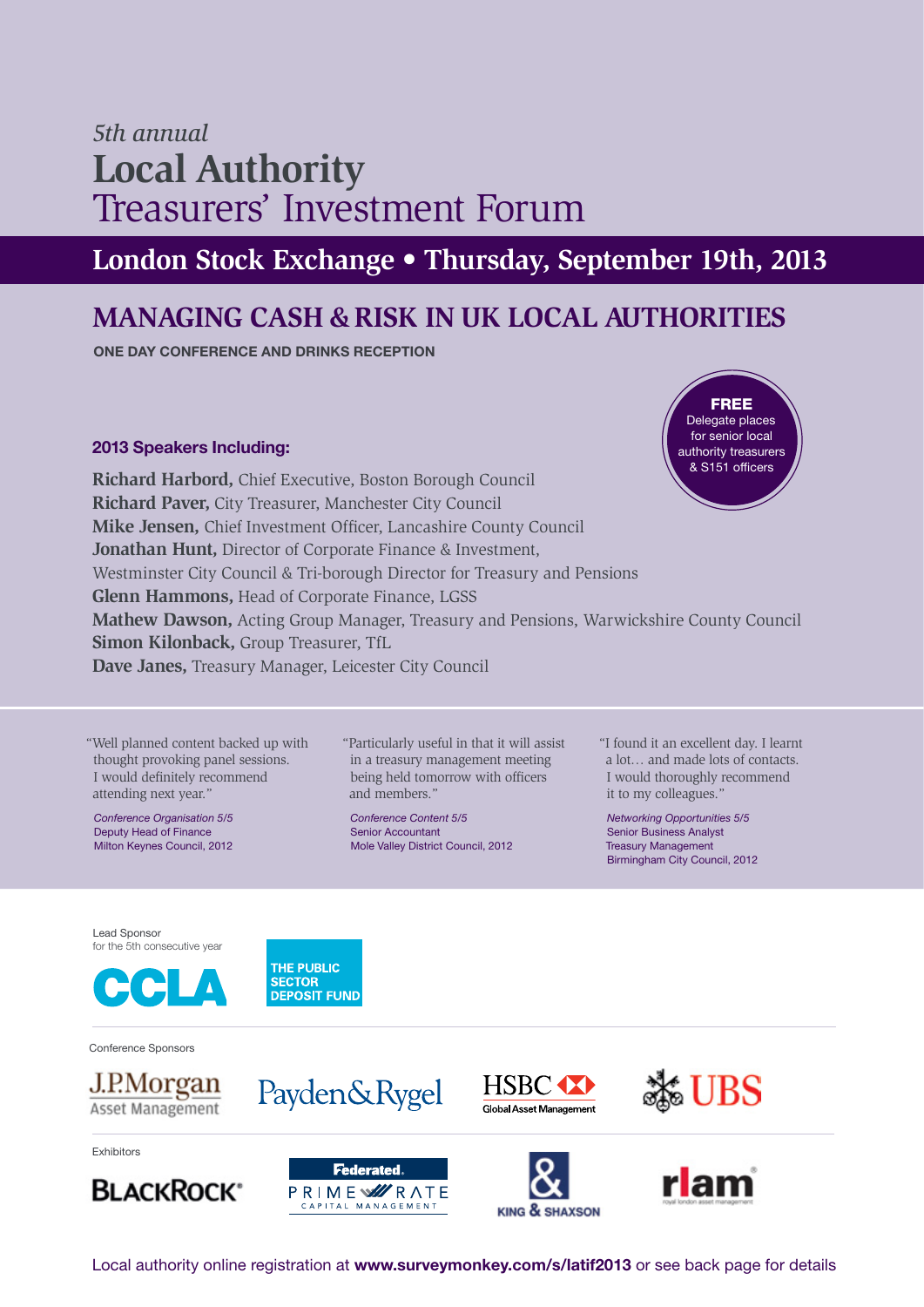# *5th annual* **Local Authority** Treasurers' Investment Forum

## **London Stock Exchange • Thursday, September 19th, 2013**

# **Managing cash & risk in UK local authorities**

One day conference and drinks reception

### 2013 Speakers Including:

**Richard Harbord,** Chief Executive, Boston Borough Council **Richard Paver,** City Treasurer, Manchester City Council **Mike Jensen,** Chief Investment Officer, Lancashire County Council **Jonathan Hunt,** Director of Corporate Finance & Investment, Westminster City Council & Tri-borough Director for Treasury and Pensions **Glenn Hammons,** Head of Corporate Finance, LGSS **Mathew Dawson,** Acting Group Manager, Treasury and Pensions, Warwickshire County Council **Simon Kilonback,** Group Treasurer, TfL **Dave Janes,** Treasury Manager, Leicester City Council

"Well planned content backed up with thought provoking panel sessions. I would definitely recommend attending next year."

*Conference Organisation 5/5* Deputy Head of Finance Milton Keynes Council, 2012 "Particularly useful in that it will assist in a treasury management meeting being held tomorrow with officers and members."

*Conference Content 5/5* Senior Accountant Mole Valley District Council, 2012 "I found it an excellent day. I learnt a lot… and made lots of contacts. I would thoroughly recommend it to my colleagues."

*Networking Opportunities 5/5* Senior Business Analyst Treasury Management Birmingham City Council, 2012

Lead Sponsor for the 5th consecutive year





Conference Sponsors



Exhibitors





Payden&Rygel











Local authority online registration at www.surveymonkey.com/s/latif2013 or see back page for details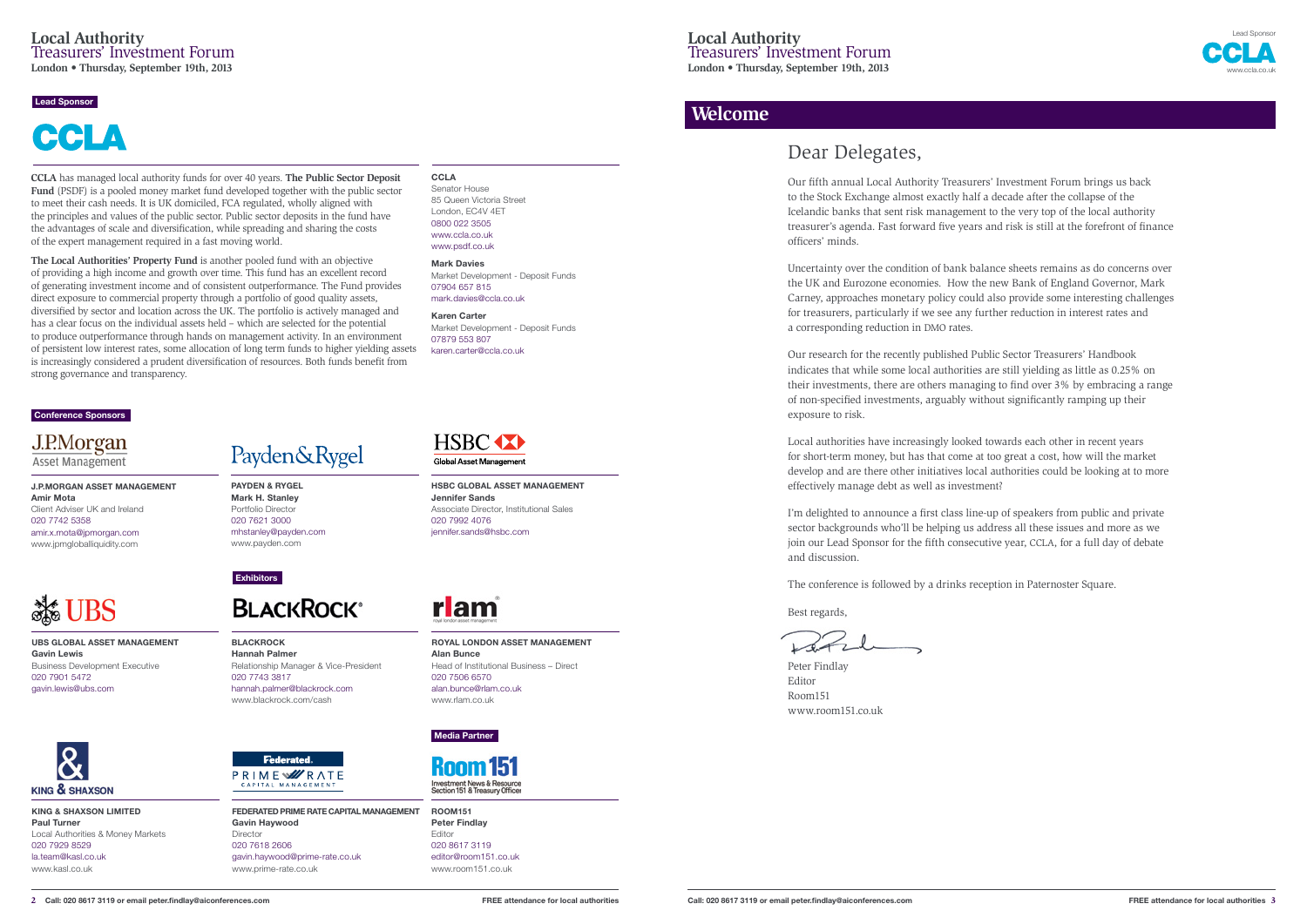# **Local Authority** Treasurers' Investment Forum **London • Thursday, September 19th, 2013**



# **Local Authority** Treasurers' Investment Forum **London • Thursday, September 19th, 2013**

# Dear Delegates,

Our fifth annual Local Authority Treasurers' Investment Forum brings us back to the Stock Exchange almost exactly half a decade after the collapse of the Icelandic banks that sent risk management to the very top of the local authority treasurer's agenda. Fast forward five years and risk is still at the forefront of finance officers' minds.

Uncertainty over the condition of bank balance sheets remains as do concerns over the UK and Eurozone economies. How the new Bank of England Governor, Mark Carney, approaches monetary policy could also provide some interesting challenges for treasurers, particularly if we see any further reduction in interest rates and a corresponding reduction in DMO rates.

Our research for the recently published Public Sector Treasurers' Handbook indicates that while some local authorities are still yielding as little as 0.25% on their investments, there are others managing to find over 3% by embracing a range of non-specified investments, arguably without significantly ramping up their exposure to risk.

Local authorities have increasingly looked towards each other in recent years for short-term money, but has that come at too great a cost, how will the market develop and are there other initiatives local authorities could be looking at to more effectively manage debt as well as investment?

I'm delighted to announce a first class line-up of speakers from public and private sector backgrounds who'll be helping us address all these issues and more as we join our Lead Sponsor for the fifth consecutive year, CCLA, for a full day of debate and discussion.

The conference is followed by a drinks reception in Paternoster Square.

Best regards,

Peter Findlay Editor Room151 www.room151.co.uk

# **Welcome**

**BLACKROCK** Hannah Palmer Relationship Manager & Vice-President 020 7743 3817 hannah.palmer@blackrock.com www.blackrock.com/cash



### Media Partner

Royal London Asset Management Alan Bunce Head of Institutional Business – Direct 020 7506 6570 alan.bunce@rlam.co.uk www.rlam.co.uk



Room151 Peter Findlay Editor 020 8617 3119 editor@room151.co.uk www.room151.co.uk

**CCLA** has managed local authority funds for over 40 years. **The Public Sector Deposit Fund** (PSDF) is a pooled money market fund developed together with the public sector to meet their cash needs. It is UK domiciled, FCA regulated, wholly aligned with the principles and values of the public sector. Public sector deposits in the fund have the advantages of scale and diversification, while spreading and sharing the costs of the expert management required in a fast moving world.

**The Local Authorities' Property Fund** is another pooled fund with an objective of providing a high income and growth over time. This fund has an excellent record of generating investment income and of consistent outperformance. The Fund provides direct exposure to commercial property through a portfolio of good quality assets, diversified by sector and location across the UK. The portfolio is actively managed and has a clear focus on the individual assets held – which are selected for the potential to produce outperformance through hands on management activity. In an environment of persistent low interest rates, some allocation of long term funds to higher yielding assets is increasingly considered a prudent diversification of resources. Both funds benefit from strong governance and transparency.

Senator House 85 Queen Victoria Street London, EC4V 4ET 0800 022 3505 www.ccla.co.uk www.psdf.co.uk

Mark Davies Market Development - Deposit Funds 07904 657 815 mark.davies@ccla.co.uk

Karen Carter Market Development - Deposit Funds 07879 553 807 karen.carter@ccla.co.uk



Payden & Rygel Mark H. Stanley Portfolio Director 020 7621 3000 mhstanley@payden.com www.payden.com

### **Exhibitors**

# **BLACKROCK®**

J.P.Morgan Asset Management Amir Mota Client Adviser UK and Ireland 020 7742 5358 amir.x.mota@jpmorgan.com www.jpmgloballiquidity.com

# **external UBS**

HSBC Global Asset Management Jennifer Sands Associate Director, Institutional Sales 020 7992 4076 jennifer.sands@hsbc.com

# rlam

### Conference Sponsors

# J.P.Morgan

Asset Management

Lead Sponsor



Federated Prime Rate Capital Management Gavin Haywood Director 020 7618 2606 gavin.haywood@prime-rate.co.uk www.prime-rate.co.uk

**CCLA** 

King & Shaxson Limited Paul Turner Local Authorities & Money Markets 020 7929 8529 la.team@kasl.co.uk www.kasl.co.uk

# Payden&Rygel

UBS Global Asset Management Gavin Lewis Business Development Executive 020 7901 5472 gavin.lewis@ubs.com

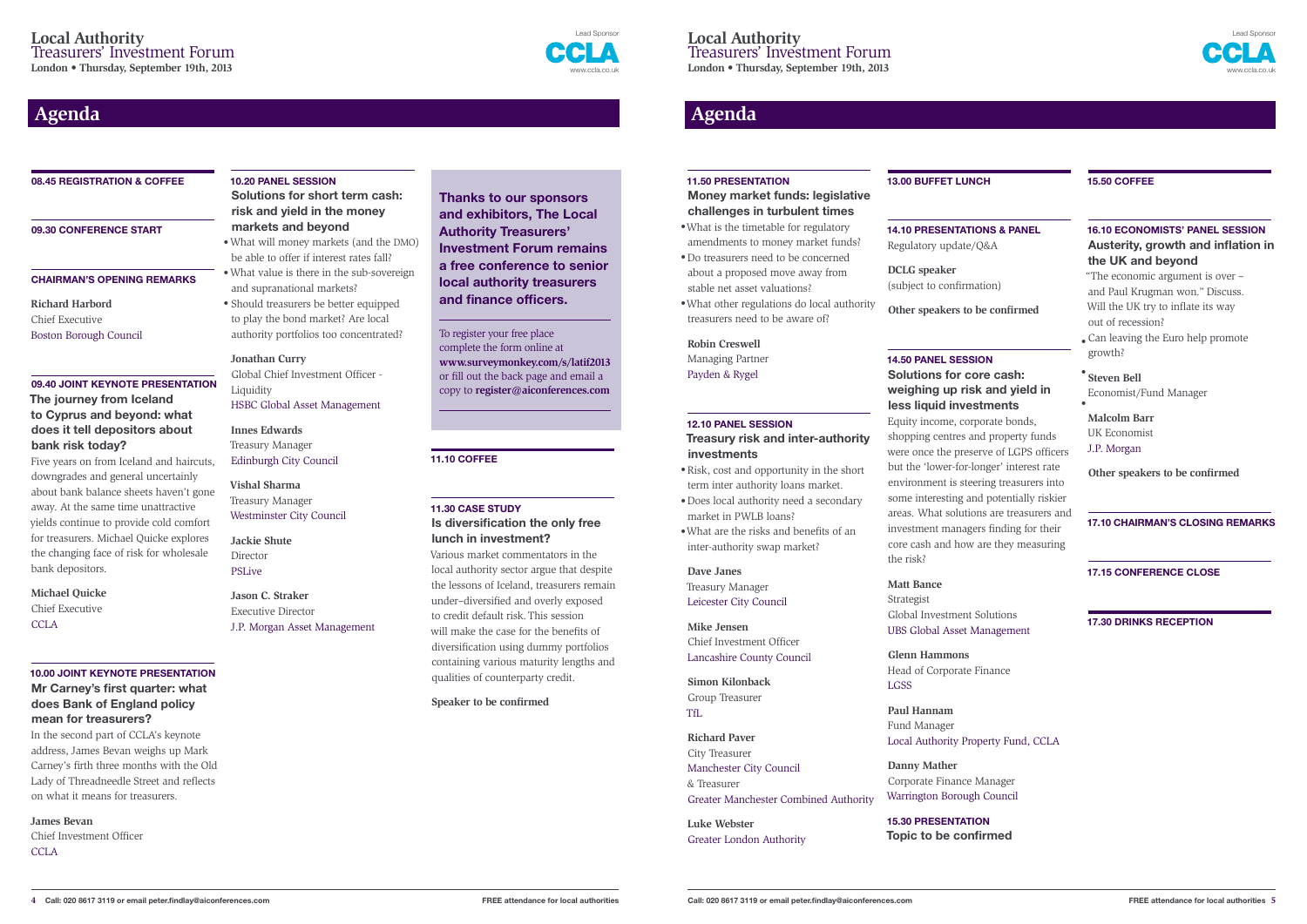### **4** Call: 020 8617 3119 or email peter.findlay@aiconferences.com FREE attendance for local authorities Call: 020 8617 3119 or email peter.findlay@aiconferences.com FREE attendance for local authorities **5**





# **Local Authority** Treasurers' Investment Forum **London • Thursday, September 19th, 2013**

**Agenda**

08.45 Registration & Coffee

09.30 Conference Start

Chairman's opening remarks

**Richard Harbord** Chief Executive

Boston Borough Council

09.40 Joint Keynote Presentation

The journey from Iceland to Cyprus and beyond: what does it tell depositors about

Chief Investment Officer **CCLA** 

bank risk today?

Five years on from Iceland and haircuts, downgrades and general uncertainly about bank balance sheets haven't gone away. At the same time unattractive yields continue to provide cold comfort for treasurers. Michael Quicke explores the changing face of risk for wholesale

bank depositors.

**Michael Quicke** Chief Executive

**CCLA** 

10.00 Joint Keynote Presentation Mr Carney's first quarter: what does Bank of England policy mean for treasurers?

In the second part of CCLA's keynote address, James Bevan weighs up Mark Carney's firth three months with the Old Lady of Threadneedle Street and reflects on what it means for treasurers.

### **James Bevan**

## 10.20 Panel Session Solutions for short term cash: risk and yield in the money markets and beyond be able to offer if interest rates fall?

- Risk, cost and opportunity in the short term inter authority loans market.
- Does local authority need a secondary market in PWLB loans?
- What are the risks and benefits of an inter-authority swap market?
- and supranational markets?
- to play the bond market? Are local authority portfolios too concentrated?

### **Jonathan Curry**

Global Chief Investment Officer - Liquidity

HSBC Global Asset Management

### **Innes Edwards**

Treasury Manager

Edinburgh City Council

**Vishal Sharma** Treasury Manager

Westminster City Council

**Jackie Shute** Director PSLive

# **Jason C. Straker** Executive Director

# J.P. Morgan Asset Management

11.10 COFFEE

11.30 Case Study

Is diversification the only free

lunch in investment?

Various market commentators in the local authority sector argue that despite the lessons of Iceland, treasurers remain under–diversified and overly exposed to credit default risk. This session will make the case for the benefits of diversification using dummy portfolios containing various maturity lengths and

qualities of counterparty credit.

**Speaker to be confirmed**

# **Agenda**

### 11.50 Presentation

- Money market funds: legislative challenges in turbulent times
- What is the timetable for regulatory amendments to money market funds?
- Do treasurers need to be concerned about a proposed move away from stable net asset valuations?
- What other regulations do local authority treasurers need to be aware of?

**Robin Creswell** Managing Partner Payden & Rygel

### 12.10 Panel Session

# What will money markets (and the DMO) • What value is there in the sub-sovereign •

• Should treasurers be better equipped

Treasury risk and inter-authority investments

### **Dave Janes**

Treasury Manager Leicester City Council

**Mike Jensen** Chief Investment Officer Lancashire County Council

**Simon Kilonback**  Group Treasurer TfL

**Richard Paver** City Treasurer Manchester City Council & Treasurer Greater Manchester Combined Authority

**Luke Webster** Greater London Authority

### 13.00 Buffet Lunch

## 14.10 Presentations & Panel Regulatory update/Q&A

**DCLG speaker**  (subject to confirmation)

**Other speakers to be confirmed**

### 14.50 Panel Session

Solutions for core cash: weighing up risk and yield in less liquid investments

Equity income, corporate bonds, shopping centres and property funds were once the preserve of LGPS officers but the 'lower-for-longer' interest rate environment is steering treasurers into some interesting and potentially riskier areas. What solutions are treasurers and investment managers finding for their core cash and how are they measuring the risk?

### **Matt Bance**

Strategist Global Investment Solutions UBS Global Asset Management

**Glenn Hammons** Head of Corporate Finance LGSS

**Paul Hannam** Fund Manager Local Authority Property Fund, CCLA

**Danny Mather**  Corporate Finance Manager Warrington Borough Council

15.30 Presentation Topic to be confirmed

Thanks to our sponsors and exhibitors, The Local

Authority Treasurers'

Investment Forum remains a free conference to senior local authority treasurers

and finance officers.

To register your free place complete the form online at

**www.surveymonkey.com/s/latif2013** or fill out the back page and email a copy to **register@aiconferences.com**

## 15.50 Coffee

## 16.10 Economists' Panel Session Austerity, growth and inflation in the UK and beyond

• Can leaving the Euro help promote growth?

• **Steven Bell**  • Economist/Fund Manager

"The economic argument is over – and Paul Krugman won." Discuss. Will the UK try to inflate its way out of recession?

**Malcolm Barr** UK Economist J.P. Morgan

**Other speakers to be confirmed**

### 17.10 Chairman's Closing Remarks

### 17.15 Conference Close

### 17.30 Drinks Reception